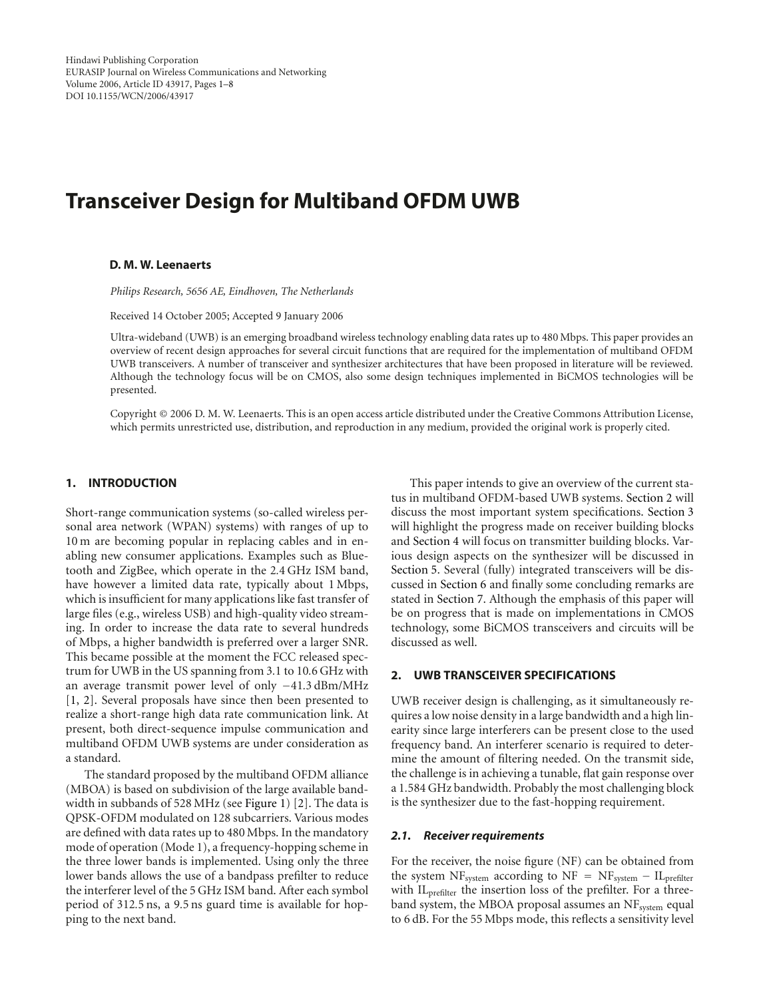# **Transceiver Design for Multiband OFDM UWB**

### **D. M. W. Leenaerts**

*Philips Research, 5656 AE, Eindhoven, The Netherlands*

Received 14 October 2005; Accepted 9 January 2006

Ultra-wideband (UWB) is an emerging broadband wireless technology enabling data rates up to 480 Mbps. This paper provides an overview of recent design approaches for several circuit functions that are required for the implementation of multiband OFDM UWB transceivers. A number of transceiver and synthesizer architectures that have been proposed in literature will be reviewed. Although the technology focus will be on CMOS, also some design techniques implemented in BiCMOS technologies will be presented.

Copyright © 2006 D. M. W. Leenaerts. This is an open access article distributed under the Creative Commons Attribution License, which permits unrestricted use, distribution, and reproduction in any medium, provided the original work is properly cited.

## **1. INTRODUCTION**

Short-range communication systems (so-called wireless personal area network (WPAN) systems) with ranges of up to 10 m are becoming popular in replacing cables and in enabling new consumer applications. Examples such as Bluetooth and ZigBee, which operate in the 2*.*4 GHz ISM band, have however a limited data rate, typically about 1 Mbps, which is insufficient for many applications like fast transfer of large files (e.g., wireless USB) and high-quality video streaming. In order to increase the data rate to several hundreds of Mbps, a higher bandwidth is preferred over a larger SNR. This became possible at the moment the FCC released spectrum for UWB in the US spanning from 3*.*1 to 10*.*6 GHz with an average transmit power level of only <sup>−</sup>41*.*3 dBm/MHz [\[1,](#page-6-1) [2](#page-6-2)]. Several proposals have since then been presented to realize a short-range high data rate communication link. At present, both direct-sequence impulse communication and multiband OFDM UWB systems are under consideration as a standard.

The standard proposed by the multiband OFDM alliance (MBOA) is based on subdivision of the large available bandwidth in subbands of 528 MHz (see [Figure 1\)](#page-1-0) [\[2\]](#page-6-2). The data is QPSK-OFDM modulated on 128 subcarriers. Various modes are defined with data rates up to 480 Mbps. In the mandatory mode of operation (Mode 1), a frequency-hopping scheme in the three lower bands is implemented. Using only the three lower bands allows the use of a bandpass prefilter to reduce the interferer level of the 5 GHz ISM band. After each symbol period of 312*.*5 ns, a 9*.*5 ns guard time is available for hopping to the next band.

This paper intends to give an overview of the current status in multiband OFDM-based UWB systems. [Section 2](#page-0-0) will discuss the most important system specifications. [Section 3](#page-2-0) will highlight the progress made on receiver building blocks and [Section 4](#page-3-0) will focus on transmitter building blocks. Various design aspects on the synthesizer will be discussed in [Section 5.](#page-3-1) Several (fully) integrated transceivers will be discussed in [Section 6](#page-5-0) and finally some concluding remarks are stated in [Section 7.](#page-5-1) Although the emphasis of this paper will be on progress that is made on implementations in CMOS technology, some BiCMOS transceivers and circuits will be discussed as well.

## <span id="page-0-0"></span>**2. UWB TRANSCEIVER SPECIFICATIONS**

UWB receiver design is challenging, as it simultaneously requires a low noise density in a large bandwidth and a high linearity since large interferers can be present close to the used frequency band. An interferer scenario is required to determine the amount of filtering needed. On the transmit side, the challenge is in achieving a tunable, flat gain response over a 1*.*584 GHz bandwidth. Probably the most challenging block is the synthesizer due to the fast-hopping requirement.

#### *2.1. Receiver requirements*

For the receiver, the noise figure (NF) can be obtained from the system NF<sub>system</sub> according to NF = NF<sub>system</sub> - IL<sub>prefilter</sub> with  $IL_{prefilter}$  the insertion loss of the prefilter. For a threeband system, the MBOA proposal assumes an NF<sub>system</sub> equal to 6 dB. For the 55 Mbps mode, this reflects a sensitivity level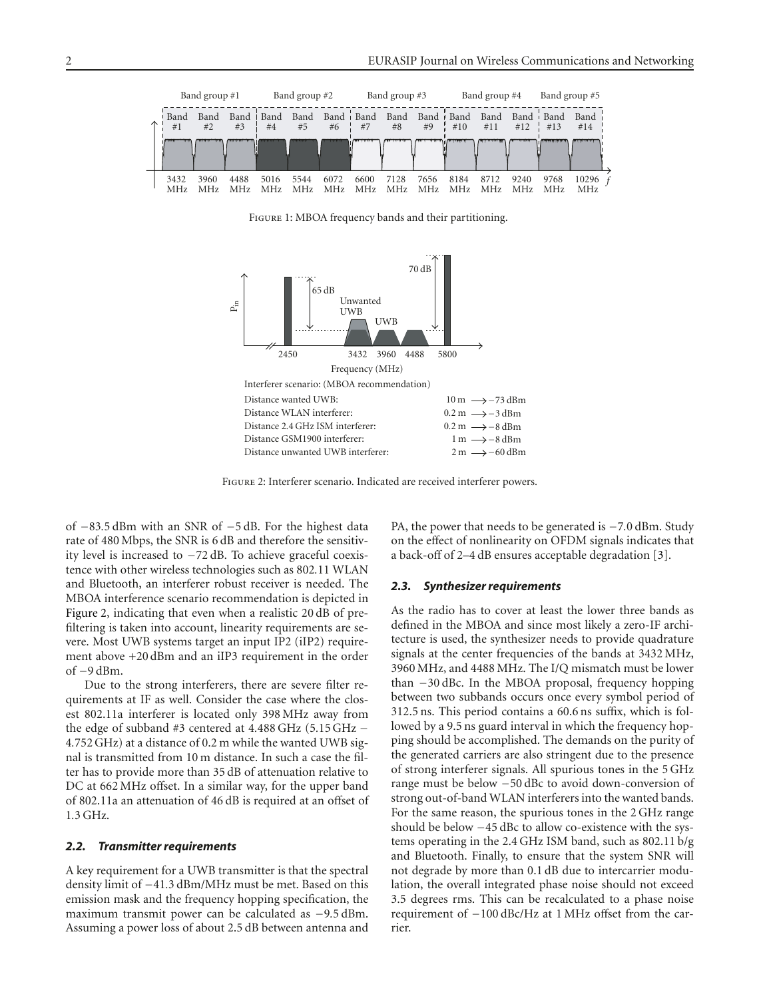

FIGURE 1: MBOA frequency bands and their partitioning.

<span id="page-1-0"></span>

<span id="page-1-1"></span>Figure 2: Interferer scenario. Indicated are received interferer powers.

of <sup>−</sup>83*.*5 dBm with an SNR of <sup>−</sup>5 dB. For the highest data rate of 480 Mbps, the SNR is 6 dB and therefore the sensitivity level is increased to −72 dB. To achieve graceful coexistence with other wireless technologies such as 802*.*11 WLAN and Bluetooth, an interferer robust receiver is needed. The MBOA interference scenario recommendation is depicted in [Figure 2,](#page-1-1) indicating that even when a realistic 20 dB of prefiltering is taken into account, linearity requirements are severe. Most UWB systems target an input IP2 (iIP2) requirement above +20 dBm and an iIP3 requirement in the order of −9 dBm.

Due to the strong interferers, there are severe filter requirements at IF as well. Consider the case where the closest 802.11a interferer is located only 398 MHz away from the edge of subband #3 centered at 4*.*488 GHz (5*.*15 GHz <sup>−</sup> 4*.*752 GHz) at a distance of 0.2 m while the wanted UWB signal is transmitted from 10 m distance. In such a case the filter has to provide more than 35 dB of attenuation relative to DC at 662 MHz offset. In a similar way, for the upper band of 802.11a an attenuation of 46 dB is required at an offset of 1*.*3 GHz.

## *2.2. Transmitter requirements*

A key requirement for a UWB transmitter is that the spectral density limit of <sup>−</sup>41*.*3 dBm/MHz must be met. Based on this emission mask and the frequency hopping specification, the maximum transmit power can be calculated as <sup>−</sup>9*.*5 dBm. Assuming a power loss of about 2.5 dB between antenna and

PA, the power that needs to be generated is <sup>−</sup>7*.*0 dBm. Study on the effect of nonlinearity on OFDM signals indicates that a back-off of 2–4 dB ensures acceptable degradation [\[3](#page-6-3)].

#### *2.3. Synthesizer requirements*

As the radio has to cover at least the lower three bands as defined in the MBOA and since most likely a zero-IF architecture is used, the synthesizer needs to provide quadrature signals at the center frequencies of the bands at 3432 MHz, 3960 MHz, and 4488 MHz. The I/Q mismatch must be lower than −30 dBc. In the MBOA proposal, frequency hopping between two subbands occurs once every symbol period of 312.5 ns. This period contains a 60.6 ns suffix, which is followed by a 9.5 ns guard interval in which the frequency hopping should be accomplished. The demands on the purity of the generated carriers are also stringent due to the presence of strong interferer signals. All spurious tones in the 5 GHz range must be below −50 dBc to avoid down-conversion of strong out-of-band WLAN interferers into the wanted bands. For the same reason, the spurious tones in the 2 GHz range should be below −45 dBc to allow co-existence with the systems operating in the 2.4 GHz ISM band, such as 802.11 b/g and Bluetooth. Finally, to ensure that the system SNR will not degrade by more than 0.1 dB due to intercarrier modulation, the overall integrated phase noise should not exceed 3.5 degrees rms. This can be recalculated to a phase noise requirement of −100 dBc/Hz at 1 MHz offset from the carrier.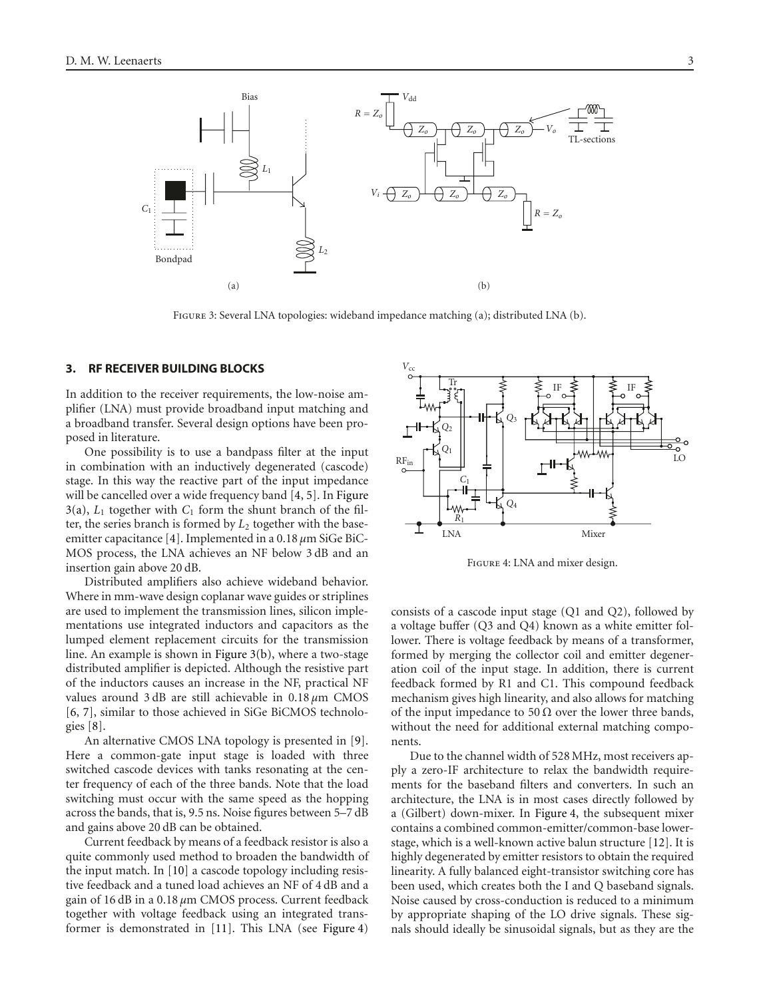<span id="page-2-2"></span><span id="page-2-1"></span>

Figure 3: Several LNA topologies: wideband impedance matching (a); distributed LNA (b).

#### <span id="page-2-0"></span>**3. RF RECEIVER BUILDING BLOCKS**

In addition to the receiver requirements, the low-noise amplifier (LNA) must provide broadband input matching and a broadband transfer. Several design options have been proposed in literature.

One possibility is to use a bandpass filter at the input in combination with an inductively degenerated (cascode) stage. In this way the reactive part of the input impedance will be cancelled over a wide frequency band [\[4](#page-6-4), [5\]](#page-6-5). In [Figure](#page-2-1)  $3(a)$ ,  $L_1$  together with  $C_1$  form the shunt branch of the filter, the series branch is formed by *L*<sup>2</sup> together with the baseemitter capacitance [\[4](#page-6-4)]. Implemented in a 0.18 *µ*m SiGe BiC-MOS process, the LNA achieves an NF below 3 dB and an insertion gain above 20 dB.

Distributed amplifiers also achieve wideband behavior. Where in mm-wave design coplanar wave guides or striplines are used to implement the transmission lines, silicon implementations use integrated inductors and capacitors as the lumped element replacement circuits for the transmission line. An example is shown in [Figure 3\(b\),](#page-2-2) where a two-stage distributed amplifier is depicted. Although the resistive part of the inductors causes an increase in the NF, practical NF values around 3 dB are still achievable in 0.18 *µ*m CMOS [\[6,](#page-6-6) [7\]](#page-6-7), similar to those achieved in SiGe BiCMOS technologies [\[8\]](#page-6-8).

An alternative CMOS LNA topology is presented in [\[9](#page-6-9)]. Here a common-gate input stage is loaded with three switched cascode devices with tanks resonating at the center frequency of each of the three bands. Note that the load switching must occur with the same speed as the hopping across the bands, that is, 9.5 ns. Noise figures between 5–7 dB and gains above 20 dB can be obtained.

Current feedback by means of a feedback resistor is also a quite commonly used method to broaden the bandwidth of the input match. In [\[10](#page-7-0)] a cascode topology including resistive feedback and a tuned load achieves an NF of 4 dB and a gain of 16 dB in a 0.18 *µ*m CMOS process. Current feedback together with voltage feedback using an integrated transformer is demonstrated in [\[11](#page-7-1)]. This LNA (see [Figure 4\)](#page-2-3)



<span id="page-2-3"></span>Figure 4: LNA and mixer design.

consists of a cascode input stage (Q1 and Q2), followed by a voltage buffer (Q3 and Q4) known as a white emitter follower. There is voltage feedback by means of a transformer, formed by merging the collector coil and emitter degeneration coil of the input stage. In addition, there is current feedback formed by R1 and C1. This compound feedback mechanism gives high linearity, and also allows for matching of the input impedance to 50  $\Omega$  over the lower three bands, without the need for additional external matching components.

Due to the channel width of 528 MHz, most receivers apply a zero-IF architecture to relax the bandwidth requirements for the baseband filters and converters. In such an architecture, the LNA is in most cases directly followed by a (Gilbert) down-mixer. In [Figure 4,](#page-2-3) the subsequent mixer contains a combined common-emitter/common-base lowerstage, which is a well-known active balun structure [\[12](#page-7-2)]. It is highly degenerated by emitter resistors to obtain the required linearity. A fully balanced eight-transistor switching core has been used, which creates both the I and Q baseband signals. Noise caused by cross-conduction is reduced to a minimum by appropriate shaping of the LO drive signals. These signals should ideally be sinusoidal signals, but as they are the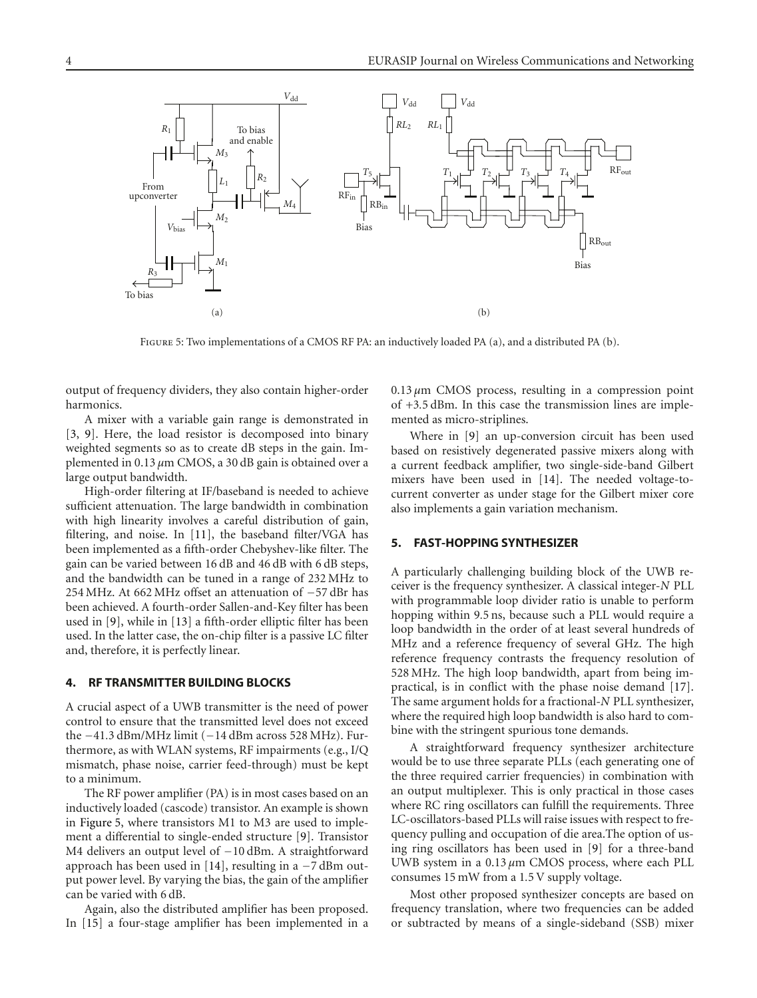

<span id="page-3-2"></span>Figure 5: Two implementations of a CMOS RF PA: an inductively loaded PA (a), and a distributed PA (b).

output of frequency dividers, they also contain higher-order harmonics.

A mixer with a variable gain range is demonstrated in [\[3,](#page-6-3) [9](#page-6-9)]. Here, the load resistor is decomposed into binary weighted segments so as to create dB steps in the gain. Implemented in 0.13 *µ*m CMOS, a 30 dB gain is obtained over a large output bandwidth.

High-order filtering at IF/baseband is needed to achieve sufficient attenuation. The large bandwidth in combination with high linearity involves a careful distribution of gain, filtering, and noise. In [\[11\]](#page-7-1), the baseband filter/VGA has been implemented as a fifth-order Chebyshev-like filter. The gain can be varied between 16 dB and 46 dB with 6 dB steps, and the bandwidth can be tuned in a range of 232 MHz to 254 MHz. At 662 MHz offset an attenuation of −57 dBr has been achieved. A fourth-order Sallen-and-Key filter has been used in [\[9](#page-6-9)], while in [\[13\]](#page-7-3) a fifth-order elliptic filter has been used. In the latter case, the on-chip filter is a passive LC filter and, therefore, it is perfectly linear.

#### <span id="page-3-0"></span>**4. RF TRANSMITTER BUILDING BLOCKS**

A crucial aspect of a UWB transmitter is the need of power control to ensure that the transmitted level does not exceed the <sup>−</sup>41*.*3 dBm/MHz limit (−14 dBm across 528 MHz). Furthermore, as with WLAN systems, RF impairments (e.g., I/Q mismatch, phase noise, carrier feed-through) must be kept to a minimum.

The RF power amplifier (PA) is in most cases based on an inductively loaded (cascode) transistor. An example is shown in [Figure 5,](#page-3-2) where transistors M1 to M3 are used to implement a differential to single-ended structure [\[9](#page-6-9)]. Transistor M4 delivers an output level of −10 dBm. A straightforward approach has been used in [\[14\]](#page-7-4), resulting in a −7 dBm output power level. By varying the bias, the gain of the amplifier can be varied with 6 dB.

Again, also the distributed amplifier has been proposed. In [\[15](#page-7-5)] a four-stage amplifier has been implemented in a  $0.13 \mu m$  CMOS process, resulting in a compression point of +3*.*5 dBm. In this case the transmission lines are implemented as micro-striplines.

Where in [\[9\]](#page-6-9) an up-conversion circuit has been used based on resistively degenerated passive mixers along with a current feedback amplifier, two single-side-band Gilbert mixers have been used in [\[14](#page-7-4)]. The needed voltage-tocurrent converter as under stage for the Gilbert mixer core also implements a gain variation mechanism.

## <span id="page-3-1"></span>**5. FAST-HOPPING SYNTHESIZER**

A particularly challenging building block of the UWB receiver is the frequency synthesizer. A classical integer-*N* PLL with programmable loop divider ratio is unable to perform hopping within 9*.*5 ns, because such a PLL would require a loop bandwidth in the order of at least several hundreds of MHz and a reference frequency of several GHz. The high reference frequency contrasts the frequency resolution of 528 MHz. The high loop bandwidth, apart from being impractical, is in conflict with the phase noise demand [\[17](#page-7-6)]. The same argument holds for a fractional-*N* PLL synthesizer, where the required high loop bandwidth is also hard to combine with the stringent spurious tone demands.

A straightforward frequency synthesizer architecture would be to use three separate PLLs (each generating one of the three required carrier frequencies) in combination with an output multiplexer. This is only practical in those cases where RC ring oscillators can fulfill the requirements. Three LC-oscillators-based PLLs will raise issues with respect to frequency pulling and occupation of die area.The option of using ring oscillators has been used in [\[9](#page-6-9)] for a three-band UWB system in a 0.13 *µ*m CMOS process, where each PLL consumes 15 mW from a 1*.*5 V supply voltage.

Most other proposed synthesizer concepts are based on frequency translation, where two frequencies can be added or subtracted by means of a single-sideband (SSB) mixer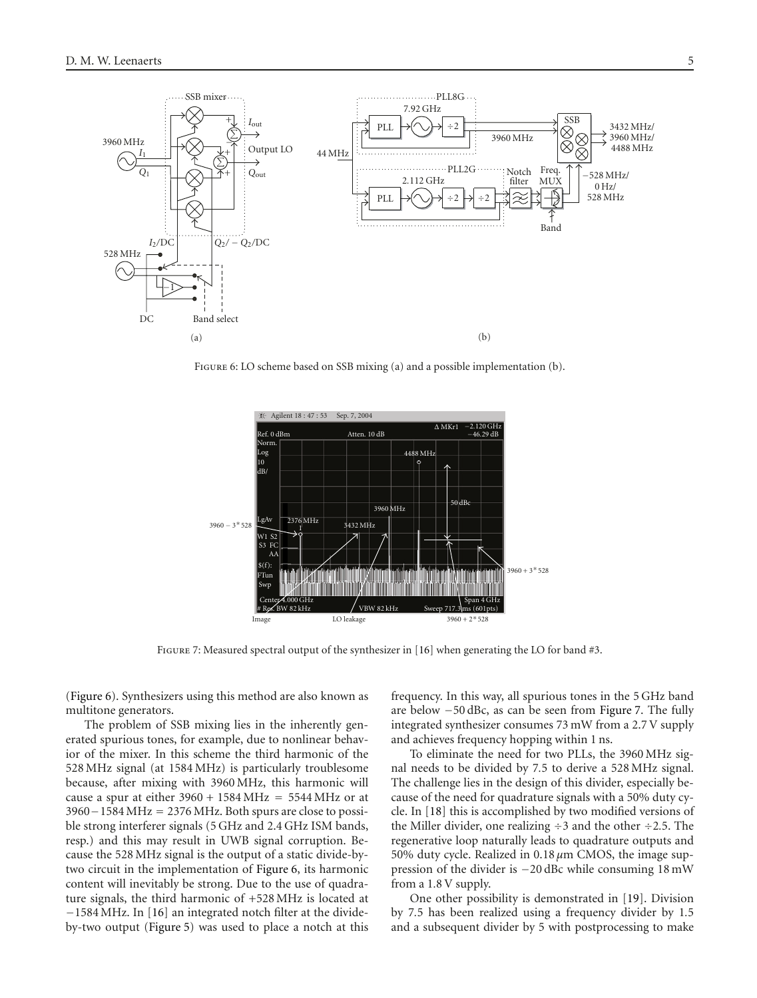

<span id="page-4-0"></span>FIGURE 6: LO scheme based on SSB mixing (a) and a possible implementation (b).



<span id="page-4-1"></span>FIGURE 7: Measured spectral output of the synthesizer in [\[16\]](#page-7-7) when generating the LO for band #3.

[\(Figure 6\)](#page-4-0). Synthesizers using this method are also known as multitone generators.

The problem of SSB mixing lies in the inherently generated spurious tones, for example, due to nonlinear behavior of the mixer. In this scheme the third harmonic of the 528 MHz signal (at 1584 MHz) is particularly troublesome because, after mixing with 3960 MHz, this harmonic will cause a spur at either  $3960 + 1584 \text{ MHz} = 5544 \text{ MHz}$  or at 3960−1584 MHz = 2376 MHz. Both spurs are close to possible strong interferer signals (5 GHz and 2.4 GHz ISM bands, resp.) and this may result in UWB signal corruption. Because the 528 MHz signal is the output of a static divide-bytwo circuit in the implementation of [Figure 6,](#page-4-0) its harmonic content will inevitably be strong. Due to the use of quadrature signals, the third harmonic of +528 MHz is located at −1584 MHz. In [\[16](#page-7-7)] an integrated notch filter at the divideby-two output [\(Figure 5\)](#page-3-2) was used to place a notch at this frequency. In this way, all spurious tones in the 5 GHz band are below −50 dBc, as can be seen from [Figure 7.](#page-4-1) The fully integrated synthesizer consumes 73 mW from a 2.7 V supply and achieves frequency hopping within 1 ns.

To eliminate the need for two PLLs, the 3960 MHz signal needs to be divided by 7*.*5 to derive a 528 MHz signal. The challenge lies in the design of this divider, especially because of the need for quadrature signals with a 50% duty cycle. In [\[18](#page-7-8)] this is accomplished by two modified versions of the Miller divider, one realizing <sup>÷</sup>3 and the other <sup>÷</sup>2*.*5. The regenerative loop naturally leads to quadrature outputs and 50% duty cycle. Realized in 0.18 *µ*m CMOS, the image suppression of the divider is −20 dBc while consuming 18 mW from a 1*.*8 V supply.

One other possibility is demonstrated in [\[19\]](#page-7-9). Division by 7*.*5 has been realized using a frequency divider by 1*.*5 and a subsequent divider by 5 with postprocessing to make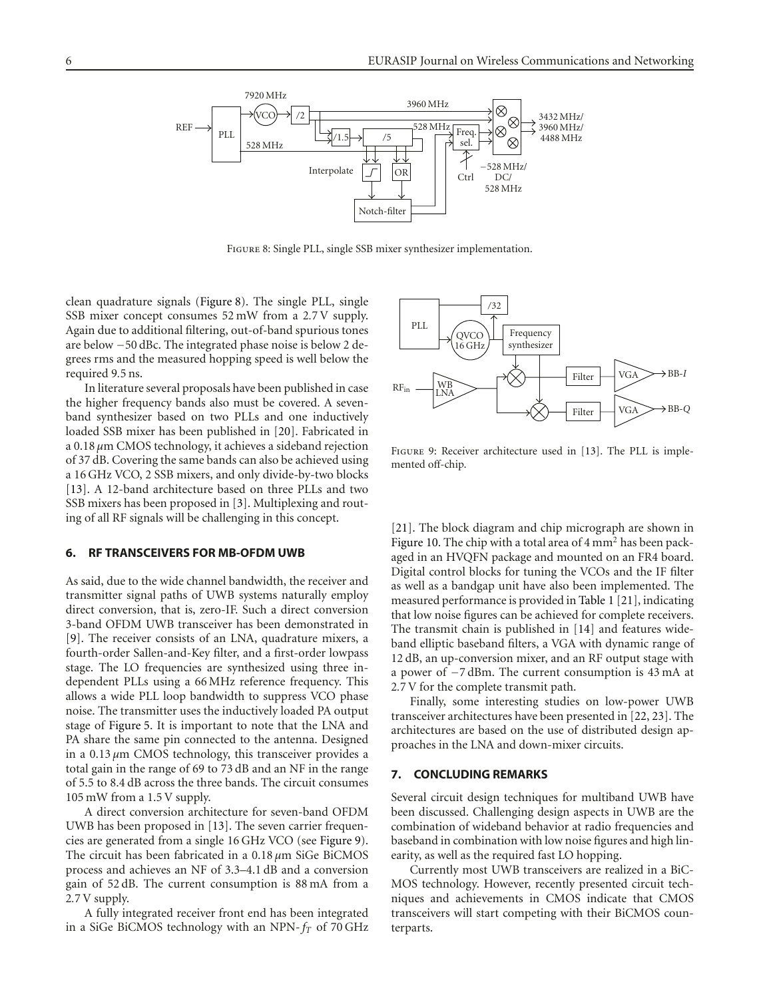

<span id="page-5-2"></span>Figure 8: Single PLL, single SSB mixer synthesizer implementation.

clean quadrature signals [\(Figure 8\)](#page-5-2). The single PLL, single SSB mixer concept consumes 52 mW from a 2*.*7 V supply. Again due to additional filtering, out-of-band spurious tones are below −50 dBc. The integrated phase noise is below 2 degrees rms and the measured hopping speed is well below the required 9*.*5 ns.

In literature several proposals have been published in case the higher frequency bands also must be covered. A sevenband synthesizer based on two PLLs and one inductively loaded SSB mixer has been published in [\[20](#page-7-10)]. Fabricated in a 0.18 *µ*m CMOS technology, it achieves a sideband rejection of 37 dB. Covering the same bands can also be achieved using a 16 GHz VCO, 2 SSB mixers, and only divide-by-two blocks [\[13](#page-7-3)]. A 12-band architecture based on three PLLs and two SSB mixers has been proposed in [\[3\]](#page-6-3). Multiplexing and routing of all RF signals will be challenging in this concept.

#### <span id="page-5-0"></span>**6. RF TRANSCEIVERS FOR MB-OFDM UWB**

As said, due to the wide channel bandwidth, the receiver and transmitter signal paths of UWB systems naturally employ direct conversion, that is, zero-IF. Such a direct conversion 3-band OFDM UWB transceiver has been demonstrated in [\[9\]](#page-6-9). The receiver consists of an LNA, quadrature mixers, a fourth-order Sallen-and-Key filter, and a first-order lowpass stage. The LO frequencies are synthesized using three independent PLLs using a 66 MHz reference frequency. This allows a wide PLL loop bandwidth to suppress VCO phase noise. The transmitter uses the inductively loaded PA output stage of [Figure 5.](#page-3-2) It is important to note that the LNA and PA share the same pin connected to the antenna. Designed in a 0.13 *µ*m CMOS technology, this transceiver provides a total gain in the range of 69 to 73 dB and an NF in the range of 5.5 to 8.4 dB across the three bands. The circuit consumes 105 mW from a 1.5 V supply.

A direct conversion architecture for seven-band OFDM UWB has been proposed in [\[13\]](#page-7-3). The seven carrier frequencies are generated from a single 16 GHz VCO (see [Figure 9\)](#page-5-3). The circuit has been fabricated in a 0.18 *µ*m SiGe BiCMOS process and achieves an NF of 3.3–4.1 dB and a conversion gain of 52 dB. The current consumption is 88 mA from a 2*.*7 V supply.

A fully integrated receiver front end has been integrated in a SiGe BiCMOS technology with an NPN-*fT* of 70 GHz



<span id="page-5-3"></span>FIGURE 9: Receiver architecture used in [\[13\]](#page-7-3). The PLL is implemented off-chip.

[\[21](#page-7-11)]. The block diagram and chip micrograph are shown in [Figure 10.](#page-6-10) The chip with a total area of 4 mm<sup>2</sup> has been packaged in an HVQFN package and mounted on an FR4 board. Digital control blocks for tuning the VCOs and the IF filter as well as a bandgap unit have also been implemented. The measured performance is provided in [Table 1](#page-6-11) [\[21](#page-7-11)], indicating that low noise figures can be achieved for complete receivers. The transmit chain is published in [\[14\]](#page-7-4) and features wideband elliptic baseband filters, a VGA with dynamic range of 12 dB, an up-conversion mixer, and an RF output stage with a power of −7 dBm. The current consumption is 43 mA at 2*.*7 V for the complete transmit path.

Finally, some interesting studies on low-power UWB transceiver architectures have been presented in [\[22,](#page-7-12) [23\]](#page-7-13). The architectures are based on the use of distributed design approaches in the LNA and down-mixer circuits.

#### <span id="page-5-1"></span>**7. CONCLUDING REMARKS**

Several circuit design techniques for multiband UWB have been discussed. Challenging design aspects in UWB are the combination of wideband behavior at radio frequencies and baseband in combination with low noise figures and high linearity, as well as the required fast LO hopping.

Currently most UWB transceivers are realized in a BiC-MOS technology. However, recently presented circuit techniques and achievements in CMOS indicate that CMOS transceivers will start competing with their BiCMOS counterparts.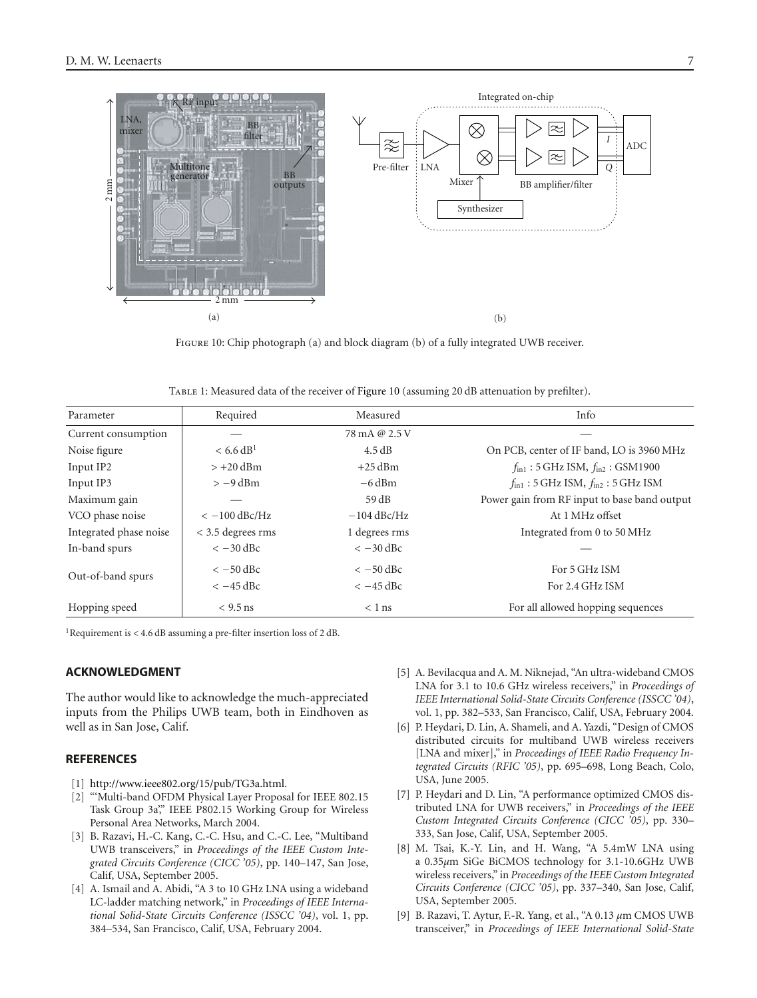

<span id="page-6-10"></span>Figure 10: Chip photograph (a) and block diagram (b) of a fully integrated UWB receiver.

<span id="page-6-11"></span>

| Parameter              | Required              | Measured      | Info                                                       |
|------------------------|-----------------------|---------------|------------------------------------------------------------|
| Current consumption    |                       | 78 mA @ 2.5 V |                                                            |
| Noise figure           | < 6.6 dB <sup>1</sup> | 4.5 dB        | On PCB, center of IF band, LO is 3960 MHz                  |
| Input IP2              | $> +20$ dBm           | $+25$ dBm     | $f_{\text{in1}}$ : 5 GHz ISM, $f_{\text{in2}}$ : GSM1900   |
| Input IP3              | $> -9$ dBm            | $-6$ dBm      | $f_{\text{in1}}$ : 5 GHz ISM, $f_{\text{in2}}$ : 5 GHz ISM |
| Maximum gain           |                       | 59 dB         | Power gain from RF input to base band output               |
| VCO phase noise        | $<-100$ dBc/Hz        | $-104$ dBc/Hz | At 1 MHz offset                                            |
| Integrated phase noise | $<$ 3.5 degrees rms   | 1 degrees rms | Integrated from 0 to 50 MHz                                |
| In-band spurs          | $<-30$ dBc            | $<-30$ dBc    |                                                            |
| Out-of-band spurs      | $<-50$ dBc            | $<-50$ dBc    | For 5 GHz ISM                                              |
|                        | $<-45$ dBc            | $<-45$ dBc    | For 2.4 GHz ISM                                            |
| Hopping speed          | $<$ 9.5 ns            | $< 1$ ns      | For all allowed hopping sequences                          |

1Requirement is *<* 4.6 dB assuming a pre-filter insertion loss of 2 dB.

## **ACKNOWLEDGMENT**

The author would like to acknowledge the much-appreciated inputs from the Philips UWB team, both in Eindhoven as well as in San Jose, Calif.

## <span id="page-6-1"></span><span id="page-6-0"></span>**REFERENCES**

- [1] [http://www.ieee802.org/15/pub/TG3a.html.](http://www.ieee802.org/15/pub/TG3a.html)
- <span id="page-6-2"></span>[2] "'Multi-band OFDM Physical Layer Proposal for IEEE 802.15 Task Group 3a" IEEE P802.15 Working Group for Wireless Personal Area Networks, March 2004.
- <span id="page-6-3"></span>[3] B. Razavi, H.-C. Kang, C.-C. Hsu, and C.-C. Lee, "Multiband UWB transceivers," in *Proceedings of the IEEE Custom Integrated Circuits Conference (CICC '05)*, pp. 140–147, San Jose, Calif, USA, September 2005.
- <span id="page-6-4"></span>[4] A. Ismail and A. Abidi, "A 3 to 10 GHz LNA using a wideband LC-ladder matching network," in *Proceedings of IEEE International Solid-State Circuits Conference (ISSCC '04)*, vol. 1, pp. 384–534, San Francisco, Calif, USA, February 2004.
- <span id="page-6-5"></span>[5] A. Bevilacqua and A. M. Niknejad, "An ultra-wideband CMOS LNA for 3.1 to 10.6 GHz wireless receivers," in *Proceedings of IEEE International Solid-State Circuits Conference (ISSCC '04)*, vol. 1, pp. 382–533, San Francisco, Calif, USA, February 2004.
- <span id="page-6-6"></span>[6] P. Heydari, D. Lin, A. Shameli, and A. Yazdi, "Design of CMOS distributed circuits for multiband UWB wireless receivers [LNA and mixer]," in *Proceedings of IEEE Radio Frequency Integrated Circuits (RFIC '05)*, pp. 695–698, Long Beach, Colo, USA, June 2005.
- <span id="page-6-7"></span>[7] P. Heydari and D. Lin, "A performance optimized CMOS distributed LNA for UWB receivers," in *Proceedings of the IEEE Custom Integrated Circuits Conference (CICC '05)*, pp. 330– 333, San Jose, Calif, USA, September 2005.
- <span id="page-6-8"></span>[8] M. Tsai, K.-Y. Lin, and H. Wang, "A 5.4mW LNA using a 0.35*µ*m SiGe BiCMOS technology for 3.1-10.6GHz UWB wireless receivers," in *Proceedings of the IEEE Custom Integrated Circuits Conference (CICC '05)*, pp. 337–340, San Jose, Calif, USA, September 2005.
- <span id="page-6-9"></span>[9] B. Razavi, T. Aytur, F.-R. Yang, et al., "A 0.13 *µ*m CMOS UWB transceiver," in *Proceedings of IEEE International Solid-State*